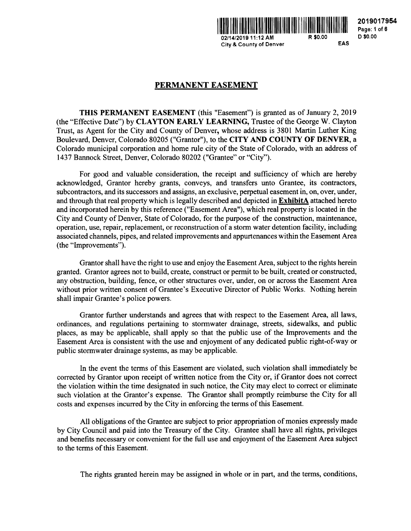

**2019017954 Page: 1** of **6 D \$0.00** 

# **PERMANENT EASEMENT**

**THIS PERMANENT EASEMENT** (this "Easement") is granted as of January 2, 2019 (the "Effective Date") by **CLAYTON EARLY LEARNING,** Trustee of the George W. Clayton Trust, as Agent for the City and County of Denver, whose address is 3801 Martin Luther King Boulevard, Denver, Colorado 80205 ("Grantor"), to the **CITY AND COUNTY OF DENVER,** a Colorado municipal corporation and home rule city of the State of Colorado, with an address of 1437 Bannock Street, Denver, Colorado 80202 ("Grantee" or "City").

For good and valuable consideration, the receipt and sufficiency of which are hereby acknowledged, Grantor hereby grants, conveys, and transfers unto Grantee, its contractors, subcontractors, and its successors and assigns, an exclusive, perpetual easement in, on, over, under, and through that real property which is legally described and depicted in **ExhibitA** attached hereto and incorporated herein by this reference ("Easement Area"), which real property is located in the City and County of Denver, State of Colorado, for the purpose of the construction, maintenance, operation, use, repair, replacement, or reconstruction of a storm water detention facility, including associated channels, pipes, and related improvements and appurtenances within the Easement Area (the "Improvements").

Grantor shall have the right to use and enjoy the Easement Area, subject to the rights herein granted. Grantor agrees not to build, create, construct or permit to be built, created or constructed, any obstruction, building, fence, or other structures over, under, on or across the Easement Area without prior written consent of Grantee's Executive Director of Public Works. Nothing herein shall impair Grantee's police powers.

Grantor further understands and agrees that with respect to the Easement Area, all laws, ordinances, and regulations pertaining to stormwater drainage, streets, sidewalks, and public places, as may be applicable, shall apply so that the public use of the Improvements and the Easement Area is consistent with the use and enjoyment of any dedicated public right-of-way or public stormwater drainage systems, as may be applicable.

In the event the terms of this Easement are violated, such violation shall immediately be corrected by Grantor upon receipt of written notice from the City or, if Grantor does not correct the violation within the time designated in such notice, the City may elect to correct or eliminate such violation at the Grantor's expense. The Grantor shall promptly reimburse the City for all costs and expenses incurred by the City in enforcing the terms of this Easement.

All obligations of the Grantee are subject to prior appropriation of monies expressly made by City Council and paid into the Treasury of the City. Grantee shall have all rights, privileges and benefits necessary or convenient for the full use and enjoyment of the Easement Area subject to the terms of this Easement.

The rights granted herein may be assigned in whole or in part, and the terms, conditions,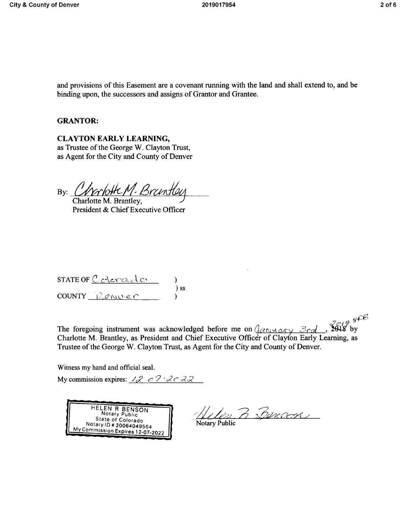and provisions of this Easement are a covenant running with the land and shall extend to, and be binding upon, the successors and assigns of Grantor and Grantee.

### **GRANTOR:**

**CLAYTON EARLY LEARNING,**  as Trustee of the George W. Clayton Trust, as Agent for the City and County of Denver

By: *CNVANOFCM-BYCINTIEL 7*  othe M. Brantley

Charlotte President & Chief Executive Officer

| STATE OF $C$ overced or |        |
|-------------------------|--------|
| $COUNTY$ Denver         | $\sum$ |

The foregoing instrument was acknowledged before me on  $\frac{\partial}{\partial x \wedge \partial y}$ ,  $\frac{\partial}{\partial y}$   $\frac{\partial}{\partial z}$  by Charlotte M. Brantley, as President and Chief Executive Officer of Clayton Early Learning, as Trustee of the George W. Clayton Trust, as Agent for the City and County of Denver.

Witness my hand and official seal.

My commission expires:  $\sqrt{2}$  *o*  $\frac{2}{3}$   $\frac{2}{3}$ 



Helin B Bunson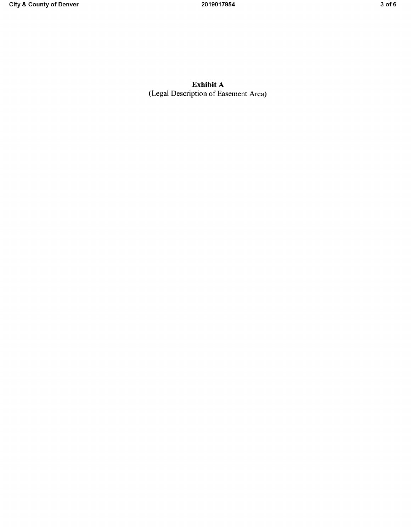**Exhibit A**  (Legal Description of Easement Area)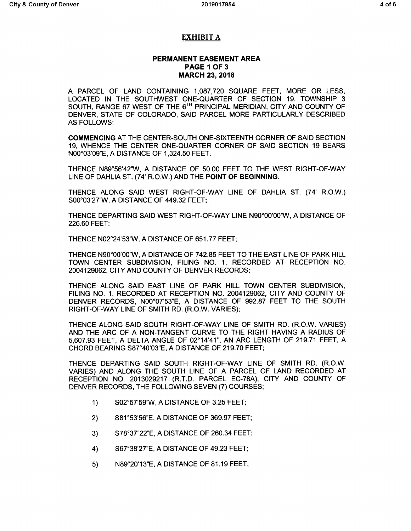## **EXHIBIT A**

## **PERMANENT EASEMENT AREA PAGE 1 OF 3 MARCH 23, 2018**

A PARCEL OF LAND CONTAINING 1,087,720 SQUARE FEET, MORE OR LESS, LOCATED IN THE SOUTHWEST ONE-QUARTER OF SECTION 19, TOWNSHIP 3 SOUTH, RANGE 67 WEST OF THE 6<sup>TH</sup> PRINCIPAL MERIDIAN, CITY AND COUNTY OF DENVER, STATE OF COLORADO, SAID PARCEL MORE PARTICULARLY DESCRIBED AS FOLLOWS:

**COMMENCING** AT THE CENTER-SOUTH ONE-SIXTEENTH CORNER OF SAID SECTION 19, WHENCE THE CENTER ONE-QUARTER CORNER OF SAID SECTION 19 BEARS N00°03'09"E, A DISTANCE OF 1,324.50 FEET.

THENCE N89°56'42'W, A DISTANCE OF 50.00 FEET TO THE WEST RIGHT-OF-WAY LINE OF DAHLIA ST. (74' R.O.W.) AND THE **POINT OF BEGINNING.** 

THENCE ALONG SAID WEST RIGHT-OF-WAY LINE OF DAHLIA ST. (74' R.O.W.) S00°03'27'W, A DISTANCE OF 449.32 FEET;

THENCE DEPARTING SAID WEST RIGHT-OF-WAY LINE N90°00'00'W, A DISTANCE OF 226.60 FEET;

THENCE N02°24'53'W, A DISTANCE OF 651.77 FEET;

THENCE N90°00'00'W, A DISTANCE OF 742.85 FEET TO THE EAST LINE OF PARK HILL TOWN CENTER SUBDIVISION, FILING NO. 1, RECORDED AT RECEPTION NO. 2004129062, CITY AND COUNTY OF DENVER RECORDS;

THENCE ALONG SAID EAST LINE OF PARK HILL TOWN CENTER SUBDIVISION, FILING NO. 1, RECORDED AT RECEPTION NO. 2004129062, CITY AND COUNTY OF DENVER RECORDS, N00°07'53"E, A DISTANCE OF 992.87 FEET TO THE SOUTH RIGHT-OF-WAY LINE OF SMITH RD. (R.O.W. VARIES);

THENCE ALONG SAID SOUTH RIGHT-OF-WAY LINE OF SMITH RD. (R.O.W. VARIES) AND THE ARC OF A NON-TANGENT CURVE TO THE RIGHT HAVING A RADIUS OF 5,607.93 FEET, A DELTA ANGLE OF 02°14'41", AN ARC LENGTH OF 219.71 FEET, A CHORD BEARING S87°40'03"E, A DISTANCE OF 219.70 FEET;

THENCE DEPARTING SAID SOUTH RIGHT-OF-WAY LINE OF SMITH RD. (R.O.W. VARIES) AND ALONG THE SOUTH LINE OF A PARCEL OF LAND RECORDED AT RECEPTION NO. 2013029217 (R.T.D. PARCEL EC-78A), CITY AND COUNTY OF DENVER RECORDS, THE FOLLOWING SEVEN (7) COURSES;

- 1) S02°57'59'W, A DISTANCE OF 3.25 FEET;
- 2) S81°53'56"E, A DISTANCE OF 369.97 FEET;
- 3) S78°37"22"E, A DISTANCE OF 260.34 FEET;
- **4)** S67°38'27"E, A DISTANCE OF 49.23 FEET;
- 5) N89°20'13"E, A DISTANCE OF 81.19 FEET;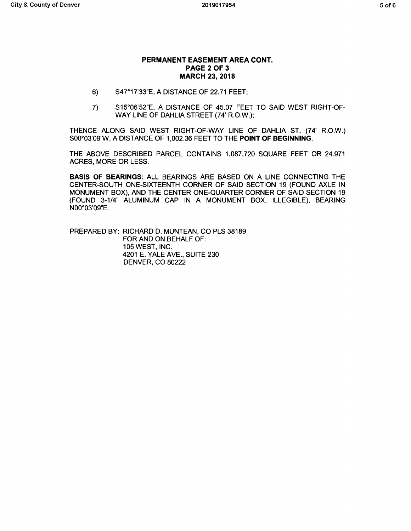#### **PERMANENT EASEMENT AREA CONT. PAGE 2 OF 3 MARCH 23, 2018**

- 6) S47°17'33"E, A DISTANCE OF 22.71 FEET;
- 7) S15°06'52"E, A DISTANCE OF 45.07 FEET TO SAID WEST RIGHT-OF-WAY LINE OF DAHLIA STREET (74' R.O.W.);

THENCE ALONG SAID WEST RIGHT-OF-WAY LINE OF DAHLIA ST. (74' R.O.W.) S00°03'09'W, A DISTANCE OF 1,002.36 FEET TO THE **POINT OF BEGINNING.** 

THE ABOVE DESCRIBED PARCEL CONTAINS 1,087,720 SQUARE FEET OR 24.971 ACRES, MORE OR LESS.

**BASIS OF BEARINGS:** ALL BEARINGS ARE BASED ON A LINE CONNECTING THE CENTER-SOUTH ONE-SIXTEENTH CORNER OF SAID SECTION 19 (FOUND AXLE IN MONUMENT BOX), AND THE CENTER ONE-QUARTER CORNER OF SAID SECTION 19 (FOUND 3-1/4" ALUMINUM CAP IN A MONUMENT BOX, ILLEGIBLE), BEARING N00°03'09"E.

PREPARED BY: RICHARD D. MUNTEAN, CO PLS 38189 FOR AND ON BEHALF OF: 105 WEST, INC. 4201 E. YALE AVE., SUITE 230 DENVER, CO 80222